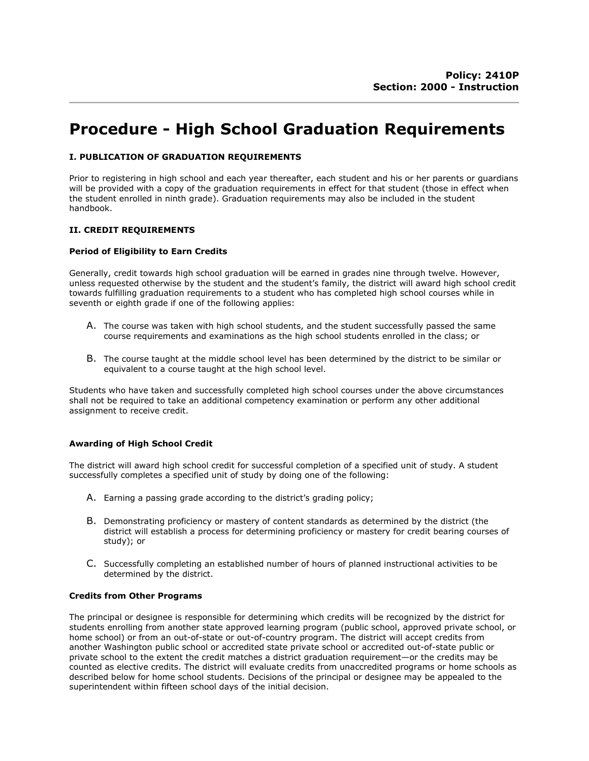# Procedure - High School Graduation Requirements

## I. PUBLICATION OF GRADUATION REQUIREMENTS

Prior to registering in high school and each year thereafter, each student and his or her parents or guardians will be provided with a copy of the graduation requirements in effect for that student (those in effect when the student enrolled in ninth grade). Graduation requirements may also be included in the student handbook.

## II. CREDIT REQUIREMENTS

#### Period of Eligibility to Earn Credits

Generally, credit towards high school graduation will be earned in grades nine through twelve. However, unless requested otherwise by the student and the student's family, the district will award high school credit towards fulfilling graduation requirements to a student who has completed high school courses while in seventh or eighth grade if one of the following applies:

- A. The course was taken with high school students, and the student successfully passed the same course requirements and examinations as the high school students enrolled in the class; or
- B. The course taught at the middle school level has been determined by the district to be similar or equivalent to a course taught at the high school level.

Students who have taken and successfully completed high school courses under the above circumstances shall not be required to take an additional competency examination or perform any other additional assignment to receive credit.

#### Awarding of High School Credit

The district will award high school credit for successful completion of a specified unit of study. A student successfully completes a specified unit of study by doing one of the following:

- A. Earning a passing grade according to the district's grading policy;
- B. Demonstrating proficiency or mastery of content standards as determined by the district (the district will establish a process for determining proficiency or mastery for credit bearing courses of study); or
- C. Successfully completing an established number of hours of planned instructional activities to be determined by the district.

#### Credits from Other Programs

The principal or designee is responsible for determining which credits will be recognized by the district for students enrolling from another state approved learning program (public school, approved private school, or home school) or from an out-of-state or out-of-country program. The district will accept credits from another Washington public school or accredited state private school or accredited out-of-state public or private school to the extent the credit matches a district graduation requirement—or the credits may be counted as elective credits. The district will evaluate credits from unaccredited programs or home schools as described below for home school students. Decisions of the principal or designee may be appealed to the superintendent within fifteen school days of the initial decision.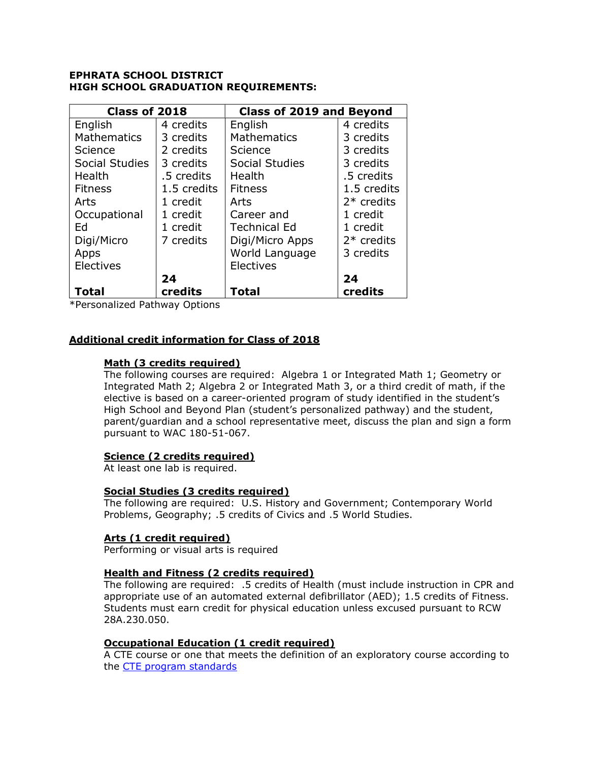# EPHRATA SCHOOL DISTRICT HIGH SCHOOL GRADUATION REQUIREMENTS:

| Class of 2018      |             | <b>Class of 2019 and Beyond</b> |              |
|--------------------|-------------|---------------------------------|--------------|
| English            | 4 credits   | English                         | 4 credits    |
| <b>Mathematics</b> | 3 credits   | <b>Mathematics</b>              | 3 credits    |
| Science            | 2 credits   | Science                         | 3 credits    |
| Social Studies     | 3 credits   | <b>Social Studies</b>           | 3 credits    |
| Health             | .5 credits  | Health                          | .5 credits   |
| <b>Fitness</b>     | 1.5 credits | <b>Fitness</b>                  | 1.5 credits  |
| Arts               | 1 credit    | Arts                            | $2*$ credits |
| Occupational       | 1 credit    | Career and                      | 1 credit     |
| Ed                 | 1 credit    | <b>Technical Ed</b>             | 1 credit     |
| Digi/Micro         | 7 credits   | Digi/Micro Apps                 | $2*$ credits |
| Apps               |             | World Language                  | 3 credits    |
| Electives          |             | Electives                       |              |
|                    | 24          |                                 | 24           |
| Total              | credits     | <b>Total</b>                    | credits      |

\*Personalized Pathway Options

# Additional credit information for Class of 2018

# Math (3 credits required)

The following courses are required: Algebra 1 or Integrated Math 1; Geometry or Integrated Math 2; Algebra 2 or Integrated Math 3, or a third credit of math, if the elective is based on a career-oriented program of study identified in the student's High School and Beyond Plan (student's personalized pathway) and the student, parent/guardian and a school representative meet, discuss the plan and sign a form pursuant to WAC 180-51-067.

# Science (2 credits required)

At least one lab is required.

# Social Studies (3 credits required)

The following are required: U.S. History and Government; Contemporary World Problems, Geography; .5 credits of Civics and .5 World Studies.

# Arts (1 credit required)

Performing or visual arts is required

# Health and Fitness (2 credits required)

The following are required: .5 credits of Health (must include instruction in CPR and appropriate use of an automated external defibrillator (AED); 1.5 credits of Fitness. Students must earn credit for physical education unless excused pursuant to RCW 28A.230.050.

# Occupational Education (1 credit required)

A CTE course or one that meets the definition of an exploratory course according to the CTE program standards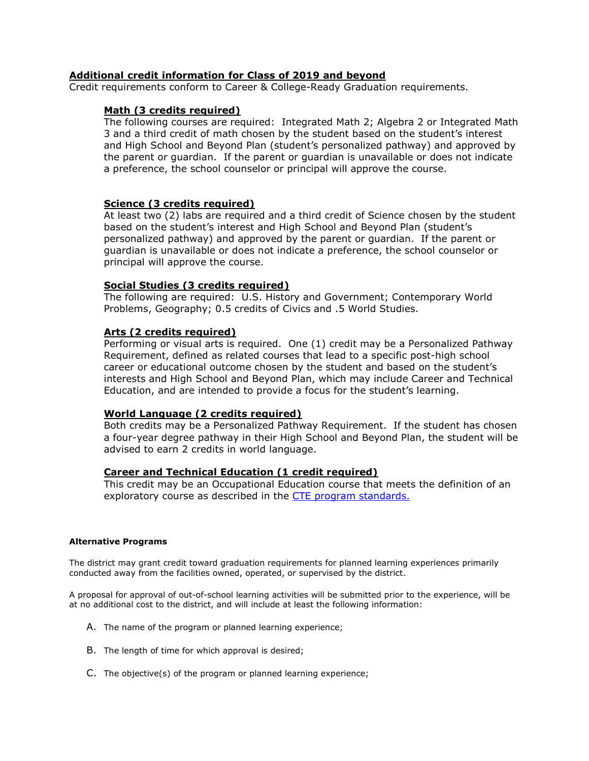## Additional credit information for Class of 2019 and beyond

Credit requirements conform to Career & College-Ready Graduation requirements.

## Math (3 credits required)

The following courses are required: Integrated Math 2; Algebra 2 or Integrated Math 3 and a third credit of math chosen by the student based on the student's interest and High School and Beyond Plan (student's personalized pathway) and approved by the parent or guardian. If the parent or guardian is unavailable or does not indicate a preference, the school counselor or principal will approve the course.

## Science (3 credits required)

At least two (2) labs are required and a third credit of Science chosen by the student based on the student's interest and High School and Beyond Plan (student's personalized pathway) and approved by the parent or guardian. If the parent or guardian is unavailable or does not indicate a preference, the school counselor or principal will approve the course.

## Social Studies (3 credits required)

The following are required: U.S. History and Government; Contemporary World Problems, Geography; 0.5 credits of Civics and .5 World Studies.

## Arts (2 credits required)

Performing or visual arts is required. One (1) credit may be a Personalized Pathway Requirement, defined as related courses that lead to a specific post-high school career or educational outcome chosen by the student and based on the student's interests and High School and Beyond Plan, which may include Career and Technical Education, and are intended to provide a focus for the student's learning.

## World Language (2 credits required)

Both credits may be a Personalized Pathway Requirement. If the student has chosen a four-year degree pathway in their High School and Beyond Plan, the student will be advised to earn 2 credits in world language.

# Career and Technical Education (1 credit required)

This credit may be an Occupational Education course that meets the definition of an exploratory course as described in the CTE program standards.

## Alternative Programs

The district may grant credit toward graduation requirements for planned learning experiences primarily conducted away from the facilities owned, operated, or supervised by the district.

A proposal for approval of out-of-school learning activities will be submitted prior to the experience, will be at no additional cost to the district, and will include at least the following information:

- A. The name of the program or planned learning experience;
- B. The length of time for which approval is desired;
- C. The objective(s) of the program or planned learning experience;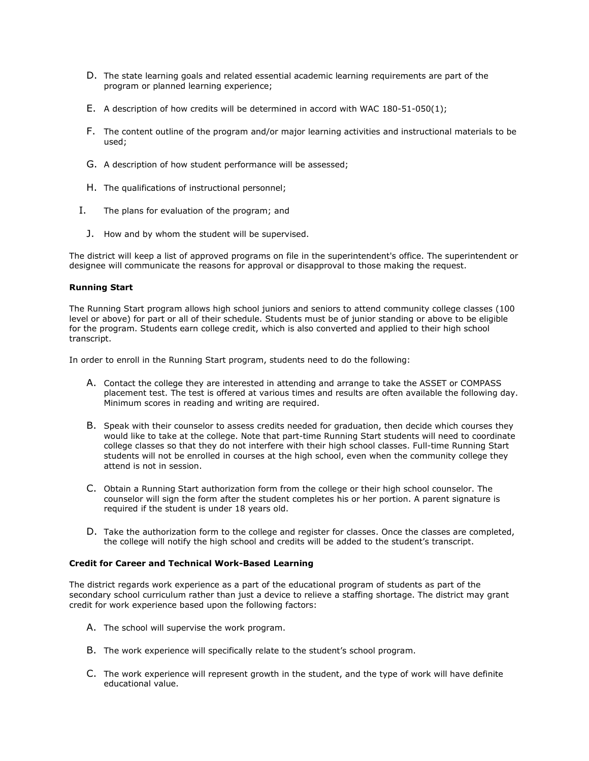- D. The state learning goals and related essential academic learning requirements are part of the program or planned learning experience;
- E. A description of how credits will be determined in accord with WAC 180-51-050(1);
- F. The content outline of the program and/or major learning activities and instructional materials to be used;
- G. A description of how student performance will be assessed;
- H. The qualifications of instructional personnel;
- I. The plans for evaluation of the program; and
	- J. How and by whom the student will be supervised.

The district will keep a list of approved programs on file in the superintendent's office. The superintendent or designee will communicate the reasons for approval or disapproval to those making the request.

#### Running Start

The Running Start program allows high school juniors and seniors to attend community college classes (100 level or above) for part or all of their schedule. Students must be of junior standing or above to be eligible for the program. Students earn college credit, which is also converted and applied to their high school transcript.

In order to enroll in the Running Start program, students need to do the following:

- A. Contact the college they are interested in attending and arrange to take the ASSET or COMPASS placement test. The test is offered at various times and results are often available the following day. Minimum scores in reading and writing are required.
- B. Speak with their counselor to assess credits needed for graduation, then decide which courses they would like to take at the college. Note that part-time Running Start students will need to coordinate college classes so that they do not interfere with their high school classes. Full-time Running Start students will not be enrolled in courses at the high school, even when the community college they attend is not in session.
- C. Obtain a Running Start authorization form from the college or their high school counselor. The counselor will sign the form after the student completes his or her portion. A parent signature is required if the student is under 18 years old.
- D. Take the authorization form to the college and register for classes. Once the classes are completed, the college will notify the high school and credits will be added to the student's transcript.

#### Credit for Career and Technical Work-Based Learning

The district regards work experience as a part of the educational program of students as part of the secondary school curriculum rather than just a device to relieve a staffing shortage. The district may grant credit for work experience based upon the following factors:

- A. The school will supervise the work program.
- B. The work experience will specifically relate to the student's school program.
- C. The work experience will represent growth in the student, and the type of work will have definite educational value.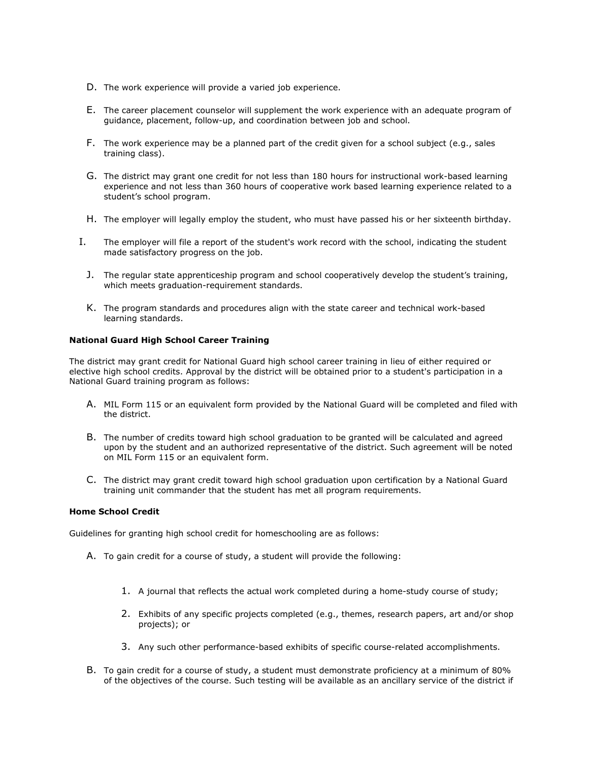- D. The work experience will provide a varied job experience.
- E. The career placement counselor will supplement the work experience with an adequate program of guidance, placement, follow-up, and coordination between job and school.
- F. The work experience may be a planned part of the credit given for a school subject (e.g., sales training class).
- G. The district may grant one credit for not less than 180 hours for instructional work-based learning experience and not less than 360 hours of cooperative work based learning experience related to a student's school program.
- H. The employer will legally employ the student, who must have passed his or her sixteenth birthday.
- I. The employer will file a report of the student's work record with the school, indicating the student made satisfactory progress on the job.
	- J. The regular state apprenticeship program and school cooperatively develop the student's training, which meets graduation-requirement standards.
	- K. The program standards and procedures align with the state career and technical work-based learning standards.

#### National Guard High School Career Training

The district may grant credit for National Guard high school career training in lieu of either required or elective high school credits. Approval by the district will be obtained prior to a student's participation in a National Guard training program as follows:

- A. MIL Form 115 or an equivalent form provided by the National Guard will be completed and filed with the district.
- B. The number of credits toward high school graduation to be granted will be calculated and agreed upon by the student and an authorized representative of the district. Such agreement will be noted on MIL Form 115 or an equivalent form.
- C. The district may grant credit toward high school graduation upon certification by a National Guard training unit commander that the student has met all program requirements.

## Home School Credit

Guidelines for granting high school credit for homeschooling are as follows:

- A. To gain credit for a course of study, a student will provide the following:
	- 1. A journal that reflects the actual work completed during a home-study course of study;
	- 2. Exhibits of any specific projects completed (e.g., themes, research papers, art and/or shop projects); or
	- 3. Any such other performance-based exhibits of specific course-related accomplishments.
- B. To gain credit for a course of study, a student must demonstrate proficiency at a minimum of 80% of the objectives of the course. Such testing will be available as an ancillary service of the district if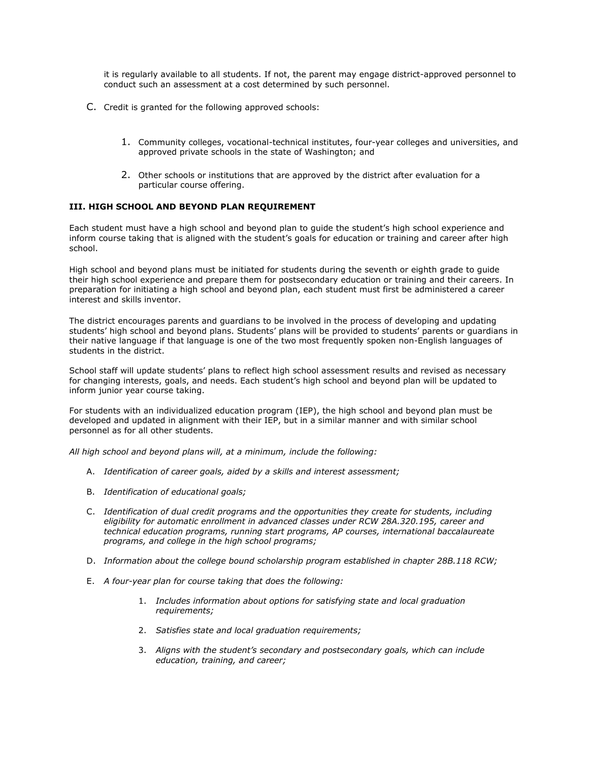it is regularly available to all students. If not, the parent may engage district-approved personnel to conduct such an assessment at a cost determined by such personnel.

- C. Credit is granted for the following approved schools:
	- 1. Community colleges, vocational-technical institutes, four-year colleges and universities, and approved private schools in the state of Washington; and
	- 2. Other schools or institutions that are approved by the district after evaluation for a particular course offering.

## III. HIGH SCHOOL AND BEYOND PLAN REQUIREMENT

Each student must have a high school and beyond plan to guide the student's high school experience and inform course taking that is aligned with the student's goals for education or training and career after high school.

High school and beyond plans must be initiated for students during the seventh or eighth grade to guide their high school experience and prepare them for postsecondary education or training and their careers. In preparation for initiating a high school and beyond plan, each student must first be administered a career interest and skills inventor.

The district encourages parents and guardians to be involved in the process of developing and updating students' high school and beyond plans. Students' plans will be provided to students' parents or guardians in their native language if that language is one of the two most frequently spoken non-English languages of students in the district.

School staff will update students' plans to reflect high school assessment results and revised as necessary for changing interests, goals, and needs. Each student's high school and beyond plan will be updated to inform junior year course taking.

For students with an individualized education program (IEP), the high school and beyond plan must be developed and updated in alignment with their IEP, but in a similar manner and with similar school personnel as for all other students.

All high school and beyond plans will, at a minimum, include the following:

- A. Identification of career goals, aided by a skills and interest assessment;
- B. Identification of educational goals;
- C. Identification of dual credit programs and the opportunities they create for students, including eligibility for automatic enrollment in advanced classes under RCW 28A.320.195, career and technical education programs, running start programs, AP courses, international baccalaureate programs, and college in the high school programs;
- D. Information about the college bound scholarship program established in chapter 28B.118 RCW;
- E. A four-year plan for course taking that does the following:
	- 1. Includes information about options for satisfying state and local graduation requirements;
	- 2. Satisfies state and local graduation requirements;
	- 3. Aligns with the student's secondary and postsecondary goals, which can include education, training, and career;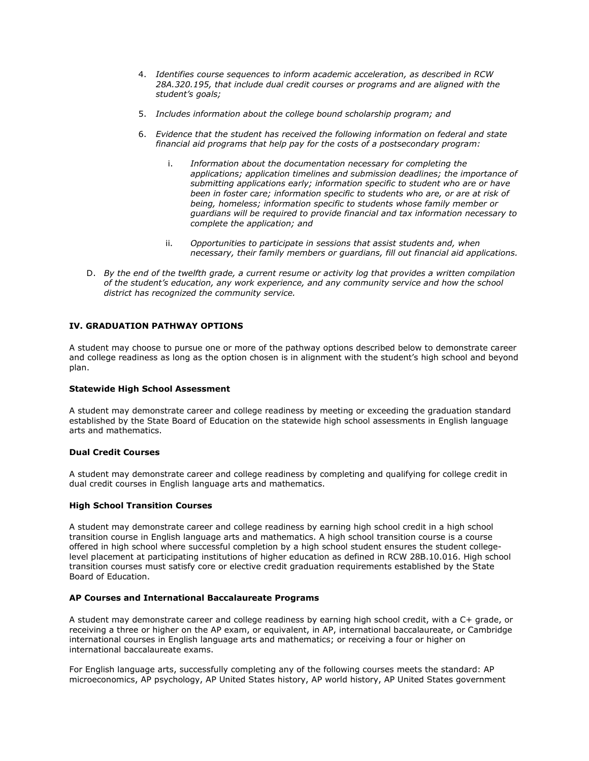- 4. Identifies course sequences to inform academic acceleration, as described in RCW 28A.320.195, that include dual credit courses or programs and are aligned with the student's goals;
- 5. Includes information about the college bound scholarship program; and
- 6. Evidence that the student has received the following information on federal and state financial aid programs that help pay for the costs of a postsecondary program:
	- i. Information about the documentation necessary for completing the applications; application timelines and submission deadlines; the importance of submitting applications early; information specific to student who are or have been in foster care; information specific to students who are, or are at risk of being, homeless; information specific to students whose family member or guardians will be required to provide financial and tax information necessary to complete the application; and
	- ii. Opportunities to participate in sessions that assist students and, when necessary, their family members or guardians, fill out financial aid applications.
- D. By the end of the twelfth grade, a current resume or activity log that provides a written compilation of the student's education, any work experience, and any community service and how the school district has recognized the community service.

## IV. GRADUATION PATHWAY OPTIONS

A student may choose to pursue one or more of the pathway options described below to demonstrate career and college readiness as long as the option chosen is in alignment with the student's high school and beyond plan.

#### Statewide High School Assessment

A student may demonstrate career and college readiness by meeting or exceeding the graduation standard established by the State Board of Education on the statewide high school assessments in English language arts and mathematics.

#### Dual Credit Courses

A student may demonstrate career and college readiness by completing and qualifying for college credit in dual credit courses in English language arts and mathematics.

#### High School Transition Courses

A student may demonstrate career and college readiness by earning high school credit in a high school transition course in English language arts and mathematics. A high school transition course is a course offered in high school where successful completion by a high school student ensures the student collegelevel placement at participating institutions of higher education as defined in RCW 28B.10.016. High school transition courses must satisfy core or elective credit graduation requirements established by the State Board of Education.

#### AP Courses and International Baccalaureate Programs

A student may demonstrate career and college readiness by earning high school credit, with a C+ grade, or receiving a three or higher on the AP exam, or equivalent, in AP, international baccalaureate, or Cambridge international courses in English language arts and mathematics; or receiving a four or higher on international baccalaureate exams.

For English language arts, successfully completing any of the following courses meets the standard: AP microeconomics, AP psychology, AP United States history, AP world history, AP United States government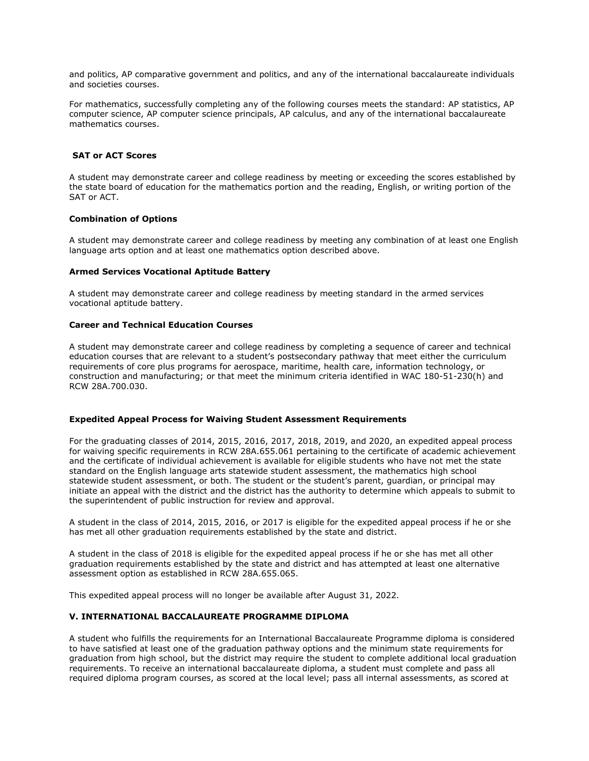and politics, AP comparative government and politics, and any of the international baccalaureate individuals and societies courses.

For mathematics, successfully completing any of the following courses meets the standard: AP statistics, AP computer science, AP computer science principals, AP calculus, and any of the international baccalaureate mathematics courses.

#### SAT or ACT Scores

A student may demonstrate career and college readiness by meeting or exceeding the scores established by the state board of education for the mathematics portion and the reading, English, or writing portion of the SAT or ACT.

#### Combination of Options

A student may demonstrate career and college readiness by meeting any combination of at least one English language arts option and at least one mathematics option described above.

#### Armed Services Vocational Aptitude Battery

A student may demonstrate career and college readiness by meeting standard in the armed services vocational aptitude battery.

#### Career and Technical Education Courses

A student may demonstrate career and college readiness by completing a sequence of career and technical education courses that are relevant to a student's postsecondary pathway that meet either the curriculum requirements of core plus programs for aerospace, maritime, health care, information technology, or construction and manufacturing; or that meet the minimum criteria identified in WAC 180-51-230(h) and RCW 28A.700.030.

#### Expedited Appeal Process for Waiving Student Assessment Requirements

For the graduating classes of 2014, 2015, 2016, 2017, 2018, 2019, and 2020, an expedited appeal process for waiving specific requirements in RCW 28A.655.061 pertaining to the certificate of academic achievement and the certificate of individual achievement is available for eligible students who have not met the state standard on the English language arts statewide student assessment, the mathematics high school statewide student assessment, or both. The student or the student's parent, guardian, or principal may initiate an appeal with the district and the district has the authority to determine which appeals to submit to the superintendent of public instruction for review and approval.

A student in the class of 2014, 2015, 2016, or 2017 is eligible for the expedited appeal process if he or she has met all other graduation requirements established by the state and district.

A student in the class of 2018 is eligible for the expedited appeal process if he or she has met all other graduation requirements established by the state and district and has attempted at least one alternative assessment option as established in RCW 28A.655.065.

This expedited appeal process will no longer be available after August 31, 2022.

#### V. INTERNATIONAL BACCALAUREATE PROGRAMME DIPLOMA

A student who fulfills the requirements for an International Baccalaureate Programme diploma is considered to have satisfied at least one of the graduation pathway options and the minimum state requirements for graduation from high school, but the district may require the student to complete additional local graduation requirements. To receive an international baccalaureate diploma, a student must complete and pass all required diploma program courses, as scored at the local level; pass all internal assessments, as scored at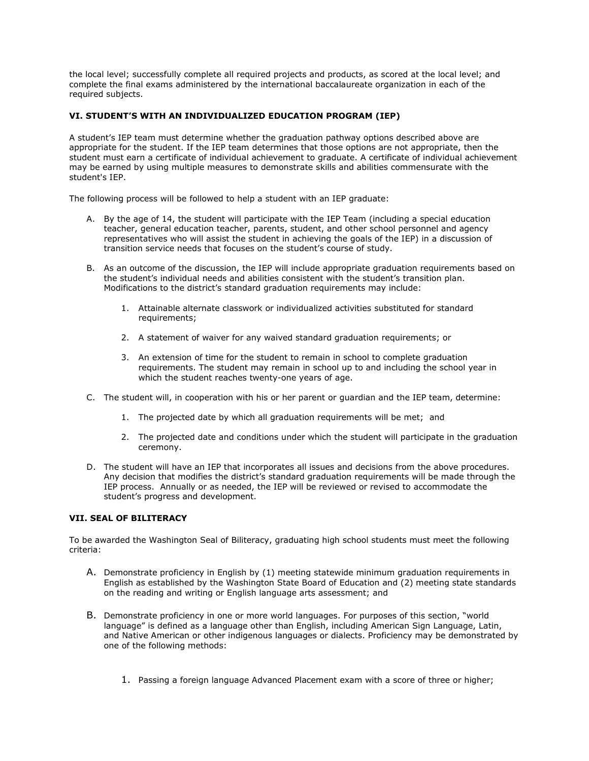the local level; successfully complete all required projects and products, as scored at the local level; and complete the final exams administered by the international baccalaureate organization in each of the required subjects.

## VI. STUDENT'S WITH AN INDIVIDUALIZED EDUCATION PROGRAM (IEP)

A student's IEP team must determine whether the graduation pathway options described above are appropriate for the student. If the IEP team determines that those options are not appropriate, then the student must earn a certificate of individual achievement to graduate. A certificate of individual achievement may be earned by using multiple measures to demonstrate skills and abilities commensurate with the student's IEP.

The following process will be followed to help a student with an IEP graduate:

- A. By the age of 14, the student will participate with the IEP Team (including a special education teacher, general education teacher, parents, student, and other school personnel and agency representatives who will assist the student in achieving the goals of the IEP) in a discussion of transition service needs that focuses on the student's course of study.
- B. As an outcome of the discussion, the IEP will include appropriate graduation requirements based on the student's individual needs and abilities consistent with the student's transition plan. Modifications to the district's standard graduation requirements may include:
	- 1. Attainable alternate classwork or individualized activities substituted for standard requirements;
	- 2. A statement of waiver for any waived standard graduation requirements; or
	- 3. An extension of time for the student to remain in school to complete graduation requirements. The student may remain in school up to and including the school year in which the student reaches twenty-one years of age.
- C. The student will, in cooperation with his or her parent or guardian and the IEP team, determine:
	- 1. The projected date by which all graduation requirements will be met; and
	- 2. The projected date and conditions under which the student will participate in the graduation ceremony.
- D. The student will have an IEP that incorporates all issues and decisions from the above procedures. Any decision that modifies the district's standard graduation requirements will be made through the IEP process. Annually or as needed, the IEP will be reviewed or revised to accommodate the student's progress and development.

## VII. SEAL OF BILITERACY

To be awarded the Washington Seal of Biliteracy, graduating high school students must meet the following criteria:

- A. Demonstrate proficiency in English by (1) meeting statewide minimum graduation requirements in English as established by the Washington State Board of Education and (2) meeting state standards on the reading and writing or English language arts assessment; and
- B. Demonstrate proficiency in one or more world languages. For purposes of this section, "world language" is defined as a language other than English, including American Sign Language, Latin, and Native American or other indigenous languages or dialects. Proficiency may be demonstrated by one of the following methods:
	- 1. Passing a foreign language Advanced Placement exam with a score of three or higher;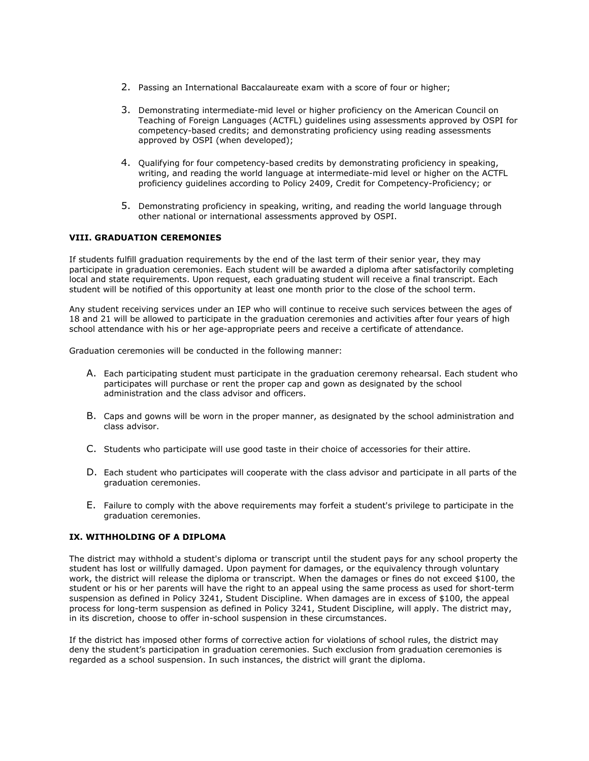- 2. Passing an International Baccalaureate exam with a score of four or higher;
- 3. Demonstrating intermediate-mid level or higher proficiency on the American Council on Teaching of Foreign Languages (ACTFL) guidelines using assessments approved by OSPI for competency-based credits; and demonstrating proficiency using reading assessments approved by OSPI (when developed);
- 4. Qualifying for four competency-based credits by demonstrating proficiency in speaking, writing, and reading the world language at intermediate-mid level or higher on the ACTFL proficiency guidelines according to Policy 2409, Credit for Competency-Proficiency; or
- 5. Demonstrating proficiency in speaking, writing, and reading the world language through other national or international assessments approved by OSPI.

## VIII. GRADUATION CEREMONIES

If students fulfill graduation requirements by the end of the last term of their senior year, they may participate in graduation ceremonies. Each student will be awarded a diploma after satisfactorily completing local and state requirements. Upon request, each graduating student will receive a final transcript. Each student will be notified of this opportunity at least one month prior to the close of the school term.

Any student receiving services under an IEP who will continue to receive such services between the ages of 18 and 21 will be allowed to participate in the graduation ceremonies and activities after four years of high school attendance with his or her age-appropriate peers and receive a certificate of attendance.

Graduation ceremonies will be conducted in the following manner:

- A. Each participating student must participate in the graduation ceremony rehearsal. Each student who participates will purchase or rent the proper cap and gown as designated by the school administration and the class advisor and officers.
- B. Caps and gowns will be worn in the proper manner, as designated by the school administration and class advisor.
- C. Students who participate will use good taste in their choice of accessories for their attire.
- D. Each student who participates will cooperate with the class advisor and participate in all parts of the graduation ceremonies.
- E. Failure to comply with the above requirements may forfeit a student's privilege to participate in the graduation ceremonies.

## IX. WITHHOLDING OF A DIPLOMA

The district may withhold a student's diploma or transcript until the student pays for any school property the student has lost or willfully damaged. Upon payment for damages, or the equivalency through voluntary work, the district will release the diploma or transcript. When the damages or fines do not exceed \$100, the student or his or her parents will have the right to an appeal using the same process as used for short-term suspension as defined in Policy 3241, Student Discipline. When damages are in excess of \$100, the appeal process for long-term suspension as defined in Policy 3241, Student Discipline, will apply. The district may, in its discretion, choose to offer in-school suspension in these circumstances.

If the district has imposed other forms of corrective action for violations of school rules, the district may deny the student's participation in graduation ceremonies. Such exclusion from graduation ceremonies is regarded as a school suspension. In such instances, the district will grant the diploma.